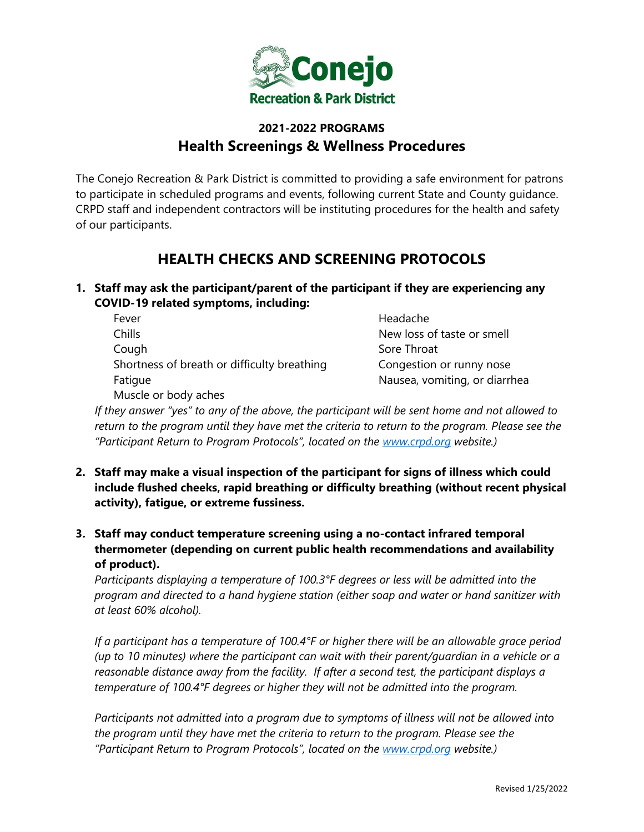

## **2021-2022 PROGRAMS Health Screenings & Wellness Procedures**

The Conejo Recreation & Park District is committed to providing a safe environment for patrons to participate in scheduled programs and events, following current State and County guidance. CRPD staff and independent contractors will be instituting procedures for the health and safety of our participants.

## **HEALTH CHECKS AND SCREENING PROTOCOLS**

- **1. Staff may ask the participant/parent of the participant if they are experiencing any COVID-19 related symptoms, including:**
	- Fever **Headache** Chills New loss of taste or smell Cough Sore Throat Shortness of breath or difficulty breathing Congestion or runny nose Fatigue **Nausea**, vomiting, or diarrhea

Muscle or body aches

*If they answer "yes" to any of the above, the participant will be sent home and not allowed to return to the program until they have met the criteria to return to the program. Please see the "Participant Return to Program Protocols", located on the [www.crpd.org](http://www.crpd.org/) website.)*

- **2. Staff may make a visual inspection of the participant for signs of illness which could include flushed cheeks, rapid breathing or difficulty breathing (without recent physical activity), fatigue, or extreme fussiness.**
- **3. Staff may conduct temperature screening using a no-contact infrared temporal thermometer (depending on current public health recommendations and availability of product).**

*Participants displaying a temperature of 100.3°F degrees or less will be admitted into the program and directed to a hand hygiene station (either soap and water or hand sanitizer with at least 60% alcohol).* 

*If a participant has a temperature of 100.4°F or higher there will be an allowable grace period (up to 10 minutes) where the participant can wait with their parent/guardian in a vehicle or a reasonable distance away from the facility. If after a second test, the participant displays a temperature of 100.4°F degrees or higher they will not be admitted into the program.*

*Participants not admitted into a program due to symptoms of illness will not be allowed into the program until they have met the criteria to return to the program. Please see the "Participant Return to Program Protocols", located on the [www.crpd.org](http://www.crpd.org/) website.)*